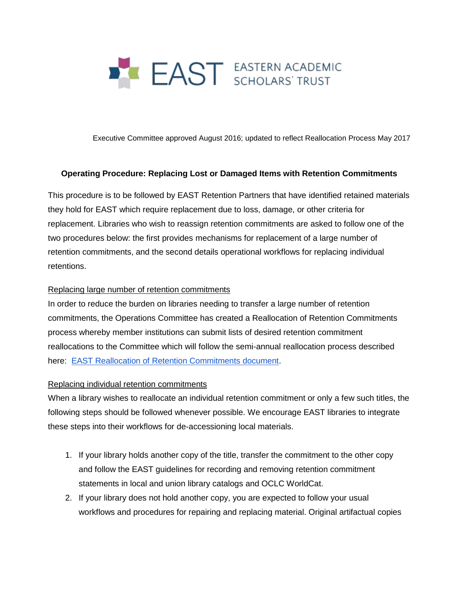

Executive Committee approved August 2016; updated to reflect Reallocation Process May 2017

## **Operating Procedure: Replacing Lost or Damaged Items with Retention Commitments**

This procedure is to be followed by EAST Retention Partners that have identified retained materials they hold for EAST which require replacement due to loss, damage, or other criteria for replacement. Libraries who wish to reassign retention commitments are asked to follow one of the two procedures below: the first provides mechanisms for replacement of a large number of retention commitments, and the second details operational workflows for replacing individual retentions.

## Replacing large number of retention commitments

In order to reduce the burden on libraries needing to transfer a large number of retention commitments, the Operations Committee has created a Reallocation of Retention Commitments process whereby member institutions can submit lists of desired retention commitment reallocations to the Committee which will follow the semi-annual reallocation process described here: [EAST Reallocation of Retention Commitments document.](https://eastlibraries.org/sites/default/files/BLC_Uploads/EASTReallocationProcess-May2017.pdf)

## Replacing individual retention commitments

When a library wishes to reallocate an individual retention commitment or only a few such titles, the following steps should be followed whenever possible. We encourage EAST libraries to integrate these steps into their workflows for de-accessioning local materials.

- 1. If your library holds another copy of the title, transfer the commitment to the other copy and follow the EAST guidelines for recording and removing retention commitment statements in local and union library catalogs and OCLC WorldCat.
- 2. If your library does not hold another copy, you are expected to follow your usual workflows and procedures for repairing and replacing material. Original artifactual copies